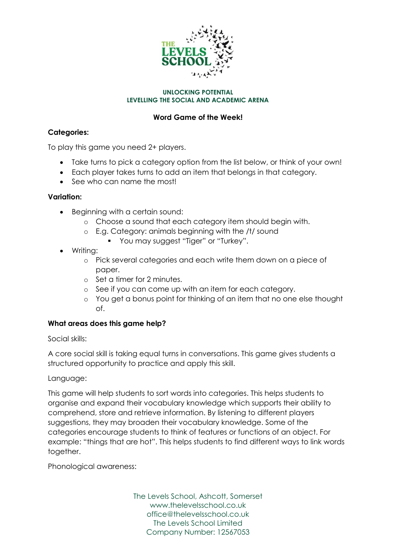

#### **UNLOCKING POTENTIAL LEVELLING THE SOCIAL AND ACADEMIC ARENA**

# **Word Game of the Week!**

## **Categories:**

To play this game you need 2+ players.

- Take turns to pick a category option from the list below, or think of your own!
- Each player takes turns to add an item that belongs in that category.
- See who can name the most!

### **Variation:**

- Beginning with a certain sound:
	- o Choose a sound that each category item should begin with.
	- o E.g. Category: animals beginning with the /t/ sound
		- **•** You may suggest "Tiger" or "Turkey".
- Writing:
	- o Pick several categories and each write them down on a piece of paper.
	- o Set a timer for 2 minutes.
	- o See if you can come up with an item for each category.
	- o You get a bonus point for thinking of an item that no one else thought of.

### **What areas does this game help?**

Social skills:

A core social skill is taking equal turns in conversations. This game gives students a structured opportunity to practice and apply this skill.

### Language:

This game will help students to sort words into categories. This helps students to organise and expand their vocabulary knowledge which supports their ability to comprehend, store and retrieve information. By listening to different players suggestions, they may broaden their vocabulary knowledge. Some of the categories encourage students to think of features or functions of an object. For example: "things that are hot". This helps students to find different ways to link words together.

Phonological awareness:

The Levels School, Ashcott, Somerset www.thelevelsschool.co.uk office@thelevelsschool.co.uk The Levels School Limited Company Number: 12567053